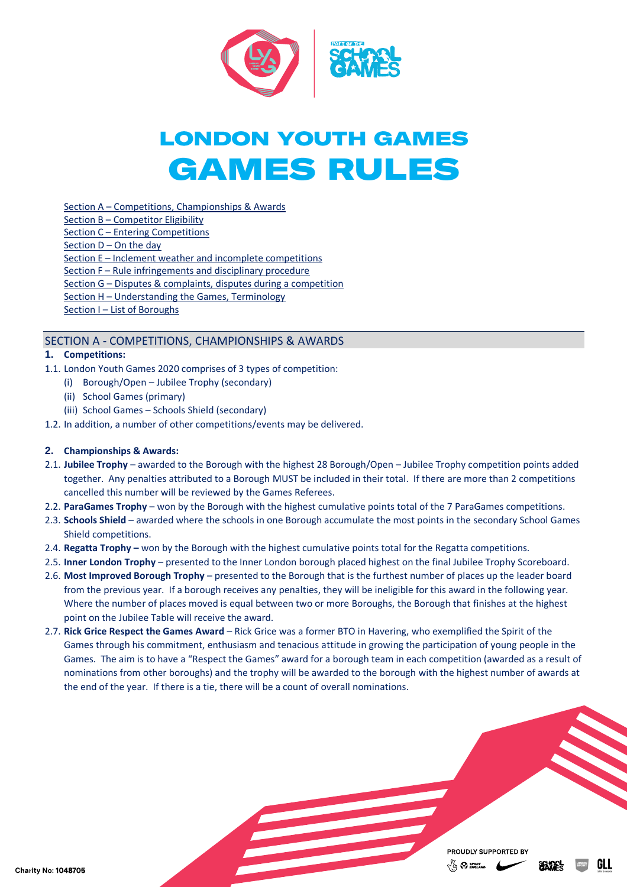

# **LONDON YOUTH GAMES GAMES RULES**

Section A – [Competitions, Championships & Awards](#page-0-0)

- Section B [Competitor Eligibility](#page-1-0)
- Section C [Entering Competitions](#page-2-0)
- Section D [On the day](#page-2-1)

Section E – [Inclement weather and incomplete competitions](#page-3-0)

Section F – [Rule infringements and disciplinary procedure](#page-4-0)

Section G – [Disputes & complaints, disputes during a competition](#page-5-0)

Section H – [Understanding the Games, Terminology](#page-6-0)

Section I – [List of Boroughs](#page-7-0)

# <span id="page-0-0"></span>SECTION A - COMPETITIONS, CHAMPIONSHIPS & AWARDS

# **1. Competitions:**

- 1.1. London Youth Games 2020 comprises of 3 types of competition:
	- (i) Borough/Open Jubilee Trophy (secondary)
	- (ii) School Games (primary)
	- (iii) School Games Schools Shield (secondary)
- 1.2. In addition, a number of other competitions/events may be delivered.

# **2. Championships & Awards:**

- 2.1. **Jubilee Trophy** awarded to the Borough with the highest 28 Borough/Open Jubilee Trophy competition points added together. Any penalties attributed to a Borough MUST be included in their total. If there are more than 2 competitions cancelled this number will be reviewed by the Games Referees.
- 2.2. **ParaGames Trophy** won by the Borough with the highest cumulative points total of the 7 ParaGames competitions.
- 2.3. **Schools Shield** awarded where the schools in one Borough accumulate the most points in the secondary School Games Shield competitions.
- 2.4. **Regatta Trophy –** won by the Borough with the highest cumulative points total for the Regatta competitions.
- 2.5. **Inner London Trophy**  presented to the Inner London borough placed highest on the final Jubilee Trophy Scoreboard.
- 2.6. **Most Improved Borough Trophy** presented to the Borough that is the furthest number of places up the leader board from the previous year. If a borough receives any penalties, they will be ineligible for this award in the following year. Where the number of places moved is equal between two or more Boroughs, the Borough that finishes at the highest point on the Jubilee Table will receive the award.
- 2.7. **Rick Grice Respect the Games Award** Rick Grice was a former BTO in Havering, who exemplified the Spirit of the Games through his commitment, enthusiasm and tenacious attitude in growing the participation of young people in the Games. The aim is to have a "Respect the Games" award for a borough team in each competition (awarded as a result of nominations from other boroughs) and the trophy will be awarded to the borough with the highest number of awards at the end of the year. If there is a tie, there will be a count of overall nominations.

PROUDLY SUPPORTED BY  $\sqrt{\omega}$   $\Omega$  sport



**SEKTE**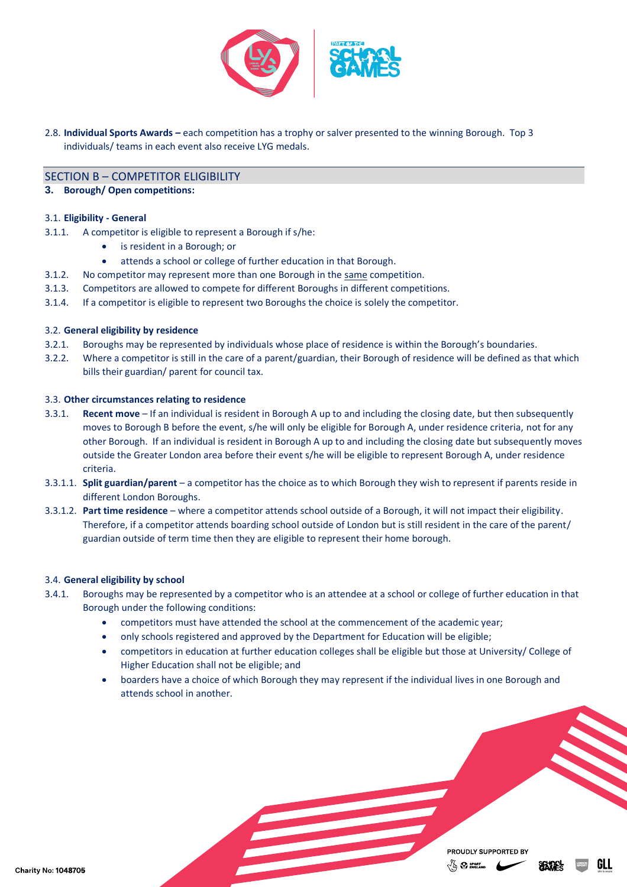

2.8. **Individual Sports Awards –** each competition has a trophy or salver presented to the winning Borough. Top 3 individuals/ teams in each event also receive LYG medals.

## <span id="page-1-0"></span>SECTION B – COMPETITOR ELIGIBILITY

#### **3. Borough/ Open competitions:**

#### 3.1. **Eligibility - General**

- 3.1.1. A competitor is eligible to represent a Borough if s/he:
	- is resident in a Borough; or
	- attends a school or college of further education in that Borough.
- 3.1.2. No competitor may represent more than one Borough in the same competition.
- 3.1.3. Competitors are allowed to compete for different Boroughs in different competitions.
- 3.1.4. If a competitor is eligible to represent two Boroughs the choice is solely the competitor.

#### 3.2. **General eligibility by residence**

- 3.2.1. Boroughs may be represented by individuals whose place of residence is within the Borough's boundaries.
- 3.2.2. Where a competitor is still in the care of a parent/guardian, their Borough of residence will be defined as that which bills their guardian/ parent for council tax.

#### 3.3. **Other circumstances relating to residence**

- 3.3.1. **Recent move** If an individual is resident in Borough A up to and including the closing date, but then subsequently moves to Borough B before the event, s/he will only be eligible for Borough A, under residence criteria, not for any other Borough. If an individual is resident in Borough A up to and including the closing date but subsequently moves outside the Greater London area before their event s/he will be eligible to represent Borough A, under residence criteria.
- 3.3.1.1. **Split guardian/parent** a competitor has the choice as to which Borough they wish to represent if parents reside in different London Boroughs.
- 3.3.1.2. **Part time residence** where a competitor attends school outside of a Borough, it will not impact their eligibility. Therefore, if a competitor attends boarding school outside of London but is still resident in the care of the parent/ guardian outside of term time then they are eligible to represent their home borough.

#### 3.4. **General eligibility by school**

- 3.4.1. Boroughs may be represented by a competitor who is an attendee at a school or college of further education in that Borough under the following conditions:
	- competitors must have attended the school at the commencement of the academic year;
	- only schools registered and approved by the Department for Education will be eligible;
	- competitors in education at further education colleges shall be eligible but those at University/ College of Higher Education shall not be eligible; and
	- boarders have a choice of which Borough they may represent if the individual lives in one Borough and attends school in another.

PROUDLY SUPPORTED BY  $\sqrt{\omega}$   $\Omega$  sport

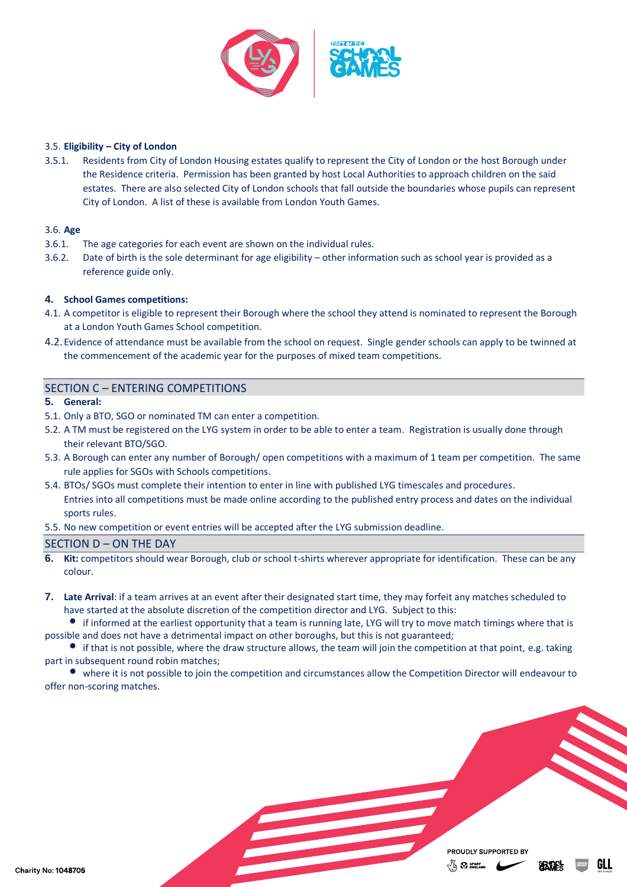

#### 3.5. **Eligibility – City of London**

3.5.1. Residents from City of London Housing estates qualify to represent the City of London or the host Borough under the Residence criteria. Permission has been granted by host Local Authorities to approach children on the said estates. There are also selected City of London schools that fall outside the boundaries whose pupils can represent City of London. A list of these is available from London Youth Games.

#### 3.6. **Age**

- 3.6.1. The age categories for each event are shown on the individual rules.
- 3.6.2. Date of birth is the sole determinant for age eligibility other information such as school year is provided as a reference guide only.

# **4. School Games competitions:**

- 4.1. A competitor is eligible to represent their Borough where the school they attend is nominated to represent the Borough at a London Youth Games School competition.
- 4.2. Evidence of attendance must be available from the school on request. Single gender schools can apply to be twinned at the commencement of the academic year for the purposes of mixed team competitions.

## <span id="page-2-0"></span>SECTION C – ENTERING COMPETITIONS

- **5. General:**
- 5.1. Only a BTO, SGO or nominated TM can enter a competition.
- 5.2. A TM must be registered on the LYG system in order to be able to enter a team. Registration is usually done through their relevant BTO/SGO.
- 5.3. A Borough can enter any number of Borough/ open competitions with a maximum of 1 team per competition. The same rule applies for SGOs with Schools competitions.
- 5.4. BTOs/ SGOs must complete their intention to enter in line with published LYG timescales and procedures. Entries into all competitions must be made online according to the published entry process and dates on the individual sports rules.
- 5.5. No new competition or event entries will be accepted after the LYG submission deadline.

## <span id="page-2-1"></span>SECTION D – ON THE DAY

- **6. Kit:** competitors should wear Borough, club or school t-shirts wherever appropriate for identification. These can be any colour.
- **7. Late Arrival**: if a team arrives at an event after their designated start time, they may forfeit any matches scheduled to have started at the absolute discretion of the competition director and LYG. Subject to this:

• if informed at the earliest opportunity that a team is running late, LYG will try to move match timings where that is possible and does not have a detrimental impact on other boroughs, but this is not guaranteed;

• if that is not possible, where the draw structure allows, the team will join the competition at that point, e.g. taking part in subsequent round robin matches;

• where it is not possible to join the competition and circumstances allow the Competition Director will endeavour to offer non-scoring matches.

> PROUDLY SUPPORTED BY  $V_{\Omega}$   $\Omega$  sport  $\mu$

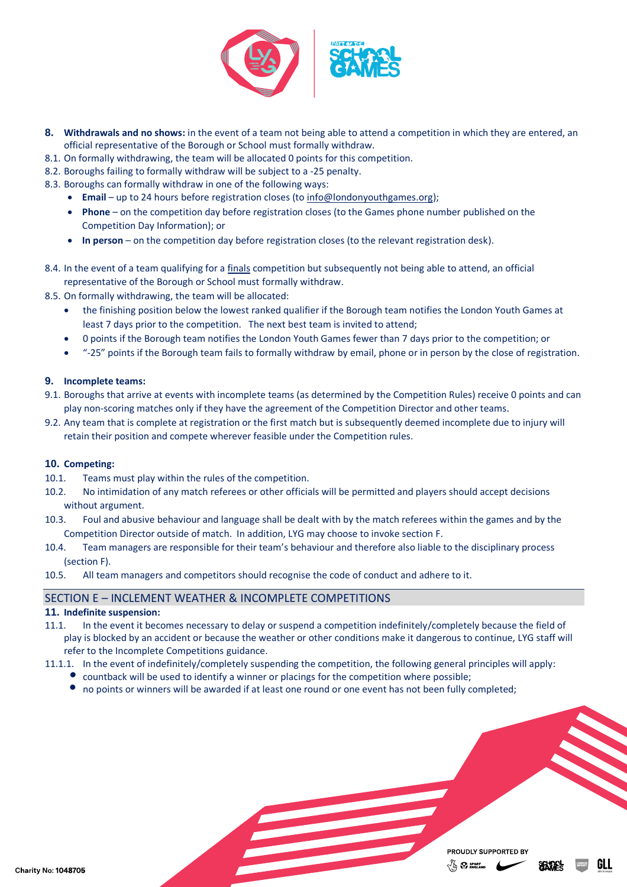

- **8. Withdrawals and no shows:** in the event of a team not being able to attend a competition in which they are entered, an official representative of the Borough or School must formally withdraw.
- 8.1. On formally withdrawing, the team will be allocated 0 points for this competition.
- 8.2. Boroughs failing to formally withdraw will be subject to a -25 penalty.
- 8.3. Boroughs can formally withdraw in one of the following ways:
	- **Email** up to 24 hours before registration closes (to [info@londonyouthgames.org\)](mailto:info@londonyouthgames.org);
	- **Phone** on the competition day before registration closes (to the Games phone number published on the Competition Day Information); or
	- **In person** on the competition day before registration closes (to the relevant registration desk).
- 8.4. In the event of a team qualifying for a finals competition but subsequently not being able to attend, an official representative of the Borough or School must formally withdraw.
- 8.5. On formally withdrawing, the team will be allocated:
	- the finishing position below the lowest ranked qualifier if the Borough team notifies the London Youth Games at least 7 days prior to the competition. The next best team is invited to attend;
	- 0 points if the Borough team notifies the London Youth Games fewer than 7 days prior to the competition; or
	- "-25" points if the Borough team fails to formally withdraw by email, phone or in person by the close of registration.

#### **9. Incomplete teams:**

- 9.1. Boroughs that arrive at events with incomplete teams (as determined by the Competition Rules) receive 0 points and can play non-scoring matches only if they have the agreement of the Competition Director and other teams.
- 9.2. Any team that is complete at registration or the first match but is subsequently deemed incomplete due to injury will retain their position and compete wherever feasible under the Competition rules.

#### **10. Competing:**

- 10.1. Teams must play within the rules of the competition.
- 10.2. No intimidation of any match referees or other officials will be permitted and players should accept decisions without argument.
- 10.3. Foul and abusive behaviour and language shall be dealt with by the match referees within the games and by the Competition Director outside of match. In addition, LYG may choose to invoke section F.
- 10.4. Team managers are responsible for their team's behaviour and therefore also liable to the disciplinary process (section F).
- 10.5. All team managers and competitors should recognise the code of conduct and adhere to it.

#### <span id="page-3-0"></span>SECTION E – INCLEMENT WEATHER & INCOMPLETE COMPETITIONS

#### **11. Indefinite suspension:**

- 11.1. In the event it becomes necessary to delay or suspend a competition indefinitely/completely because the field of play is blocked by an accident or because the weather or other conditions make it dangerous to continue, LYG staff will refer to the Incomplete Competitions guidance.
- 11.1.1. In the event of indefinitely/completely suspending the competition, the following general principles will apply:
	- *•* countback will be used to identify a winner or placings for the competition where possible;
		- no points or winners will be awarded if at least one round or one event has not been fully completed;

PROUDLY SUPPORTED BY  $\sqrt{2}$   $\Omega$  sport  $\mu$ 

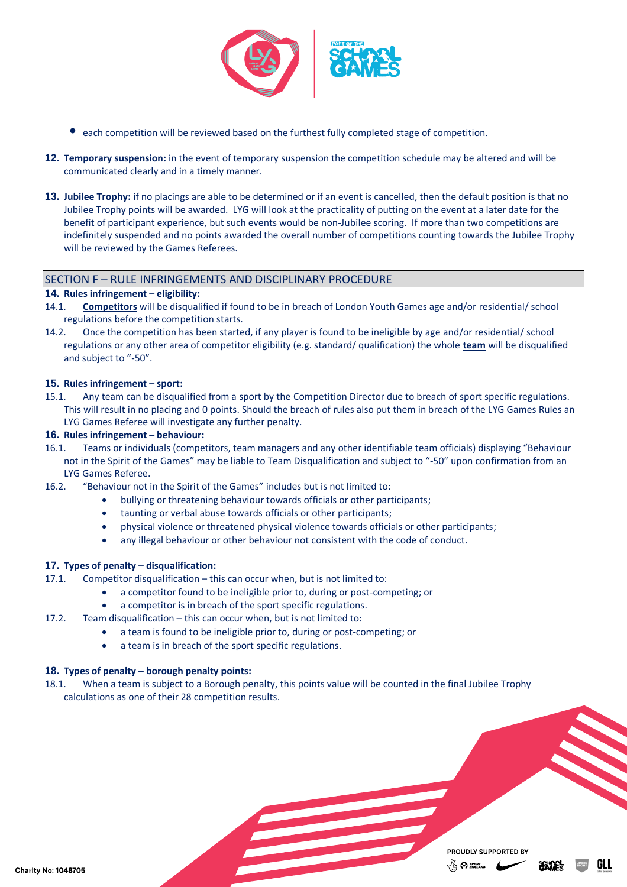

- each competition will be reviewed based on the furthest fully completed stage of competition.
- **12. Temporary suspension:** in the event of temporary suspension the competition schedule may be altered and will be communicated clearly and in a timely manner.
- **13. Jubilee Trophy:** if no placings are able to be determined or if an event is cancelled, then the default position is that no Jubilee Trophy points will be awarded. LYG will look at the practicality of putting on the event at a later date for the benefit of participant experience, but such events would be non-Jubilee scoring. If more than two competitions are indefinitely suspended and no points awarded the overall number of competitions counting towards the Jubilee Trophy will be reviewed by the Games Referees.

## <span id="page-4-0"></span>SECTION F – RULE INFRINGEMENTS AND DISCIPLINARY PROCEDURE

#### **14. Rules infringement – eligibility:**

- 14.1. **Competitors** will be disqualified if found to be in breach of London Youth Games age and/or residential/ school regulations before the competition starts.
- 14.2. Once the competition has been started, if any player is found to be ineligible by age and/or residential/ school regulations or any other area of competitor eligibility (e.g. standard/ qualification) the whole **team** will be disqualified and subject to "-50".

#### **15. Rules infringement – sport:**

15.1. Any team can be disqualified from a sport by the Competition Director due to breach of sport specific regulations. This will result in no placing and 0 points. Should the breach of rules also put them in breach of the LYG Games Rules an LYG Games Referee will investigate any further penalty.

#### **16. Rules infringement – behaviour:**

- 16.1. Teams or individuals (competitors, team managers and any other identifiable team officials) displaying "Behaviour not in the Spirit of the Games" may be liable to Team Disqualification and subject to "-50" upon confirmation from an LYG Games Referee.
- 16.2. "Behaviour not in the Spirit of the Games" includes but is not limited to:
	- bullying or threatening behaviour towards officials or other participants;
	- taunting or verbal abuse towards officials or other participants;
	- physical violence or threatened physical violence towards officials or other participants;
	- any illegal behaviour or other behaviour not consistent with the code of conduct.

# **17. Types of penalty – disqualification:**

- 17.1. Competitor disqualification this can occur when, but is not limited to:
	- a competitor found to be ineligible prior to, during or post-competing; or
	- a competitor is in breach of the sport specific regulations.
- 17.2. Team disqualification this can occur when, but is not limited to:
	- a team is found to be ineligible prior to, during or post-competing; or
	- a team is in breach of the sport specific regulations.

# **18. Types of penalty – borough penalty points:**

18.1. When a team is subject to a Borough penalty, this points value will be counted in the final Jubilee Trophy calculations as one of their 28 competition results.

Charity No: 1048705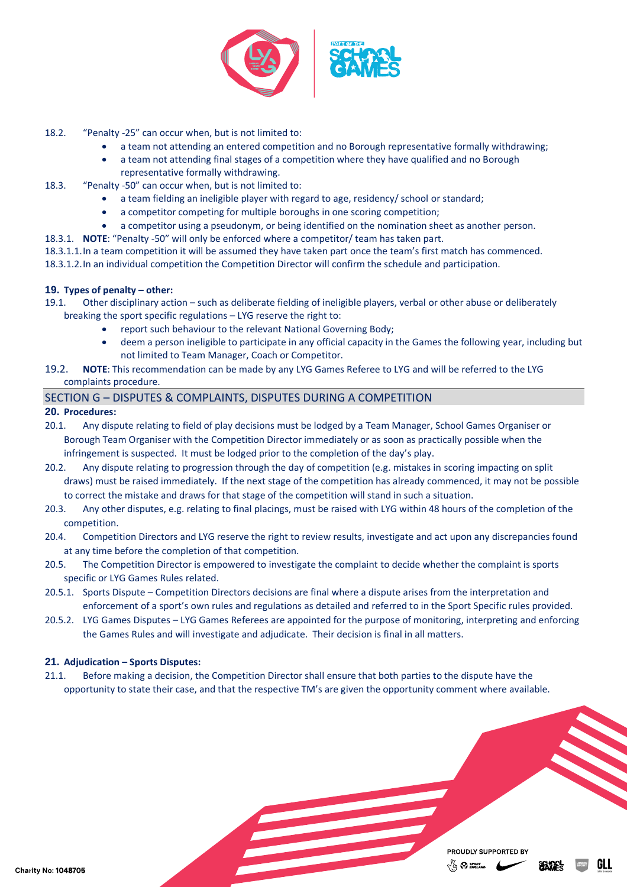

- 18.2. "Penalty -25" can occur when, but is not limited to:
	- a team not attending an entered competition and no Borough representative formally withdrawing;
	- a team not attending final stages of a competition where they have qualified and no Borough representative formally withdrawing.
- 18.3. "Penalty -50" can occur when, but is not limited to:
	- a team fielding an ineligible player with regard to age, residency/ school or standard;
	- a competitor competing for multiple boroughs in one scoring competition;
	- a competitor using a pseudonym, or being identified on the nomination sheet as another person.
- 18.3.1. **NOTE**: "Penalty -50" will only be enforced where a competitor/ team has taken part.
- 18.3.1.1.In a team competition it will be assumed they have taken part once the team's first match has commenced.
- 18.3.1.2.In an individual competition the Competition Director will confirm the schedule and participation.

## **19. Types of penalty – other:**

- 19.1. Other disciplinary action such as deliberate fielding of ineligible players, verbal or other abuse or deliberately breaking the sport specific regulations – LYG reserve the right to:
	- report such behaviour to the relevant National Governing Body;
	- deem a person ineligible to participate in any official capacity in the Games the following year, including but not limited to Team Manager, Coach or Competitor.

#### 19.2. **NOTE**: This recommendation can be made by any LYG Games Referee to LYG and will be referred to the LYG complaints procedure.

# <span id="page-5-0"></span>SECTION G – DISPUTES & COMPLAINTS, DISPUTES DURING A COMPETITION

## **20. Procedures:**

- 20.1. Any dispute relating to field of play decisions must be lodged by a Team Manager, School Games Organiser or Borough Team Organiser with the Competition Director immediately or as soon as practically possible when the infringement is suspected. It must be lodged prior to the completion of the day's play.
- 20.2. Any dispute relating to progression through the day of competition (e.g. mistakes in scoring impacting on split draws) must be raised immediately. If the next stage of the competition has already commenced, it may not be possible to correct the mistake and draws for that stage of the competition will stand in such a situation.
- 20.3. Any other disputes, e.g. relating to final placings, must be raised with LYG within 48 hours of the completion of the competition.
- 20.4. Competition Directors and LYG reserve the right to review results, investigate and act upon any discrepancies found at any time before the completion of that competition.
- 20.5. The Competition Director is empowered to investigate the complaint to decide whether the complaint is sports specific or LYG Games Rules related.
- 20.5.1. Sports Dispute Competition Directors decisions are final where a dispute arises from the interpretation and enforcement of a sport's own rules and regulations as detailed and referred to in the Sport Specific rules provided.
- 20.5.2. LYG Games Disputes LYG Games Referees are appointed for the purpose of monitoring, interpreting and enforcing the Games Rules and will investigate and adjudicate. Their decision is final in all matters.

# **21. Adjudication – Sports Disputes:**

21.1. Before making a decision, the Competition Director shall ensure that both parties to the dispute have the opportunity to state their case, and that the respective TM's are given the opportunity comment where available.

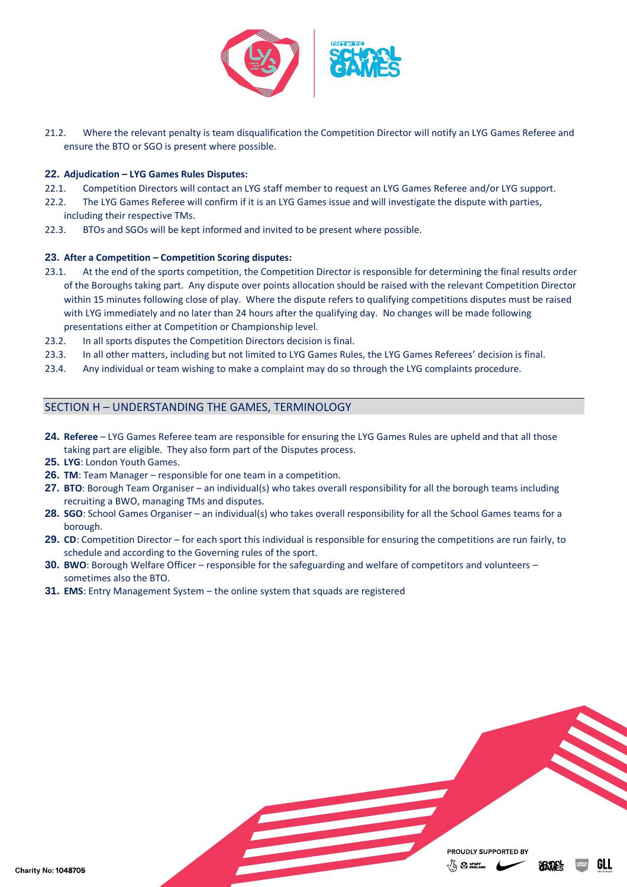

21.2. Where the relevant penalty is team disqualification the Competition Director will notify an LYG Games Referee and ensure the BTO or SGO is present where possible.

#### **22. Adjudication – LYG Games Rules Disputes:**

- 22.1. Competition Directors will contact an LYG staff member to request an LYG Games Referee and/or LYG support.
- 22.2. The LYG Games Referee will confirm if it is an LYG Games issue and will investigate the dispute with parties, including their respective TMs.
- 22.3. BTOs and SGOs will be kept informed and invited to be present where possible.

#### **23. After a Competition – Competition Scoring disputes:**

- 23.1. At the end of the sports competition, the Competition Director is responsible for determining the final results order of the Boroughs taking part. Any dispute over points allocation should be raised with the relevant Competition Director within 15 minutes following close of play. Where the dispute refers to qualifying competitions disputes must be raised with LYG immediately and no later than 24 hours after the qualifying day. No changes will be made following presentations either at Competition or Championship level.
- 23.2. In all sports disputes the Competition Directors decision is final.
- 23.3. In all other matters, including but not limited to LYG Games Rules, the LYG Games Referees' decision is final.
- 23.4. Any individual or team wishing to make a complaint may do so through the LYG complaints procedure.

## <span id="page-6-0"></span>SECTION H – UNDERSTANDING THE GAMES, TERMINOLOGY

- **24. Referee** LYG Games Referee team are responsible for ensuring the LYG Games Rules are upheld and that all those taking part are eligible. They also form part of the Disputes process.
- **25. LYG**: London Youth Games.
- **26. TM**: Team Manager responsible for one team in a competition.
- **27. BTO**: Borough Team Organiser an individual(s) who takes overall responsibility for all the borough teams including recruiting a BWO, managing TMs and disputes.
- **28. SGO**: School Games Organiser an individual(s) who takes overall responsibility for all the School Games teams for a borough.
- **29. CD**: Competition Director for each sport this individual is responsible for ensuring the competitions are run fairly, to schedule and according to the Governing rules of the sport.
- **30. BWO**: Borough Welfare Officer responsible for the safeguarding and welfare of competitors and volunteers sometimes also the BTO.
- **31. EMS**: Entry Management System the online system that squads are registered

PROUDLY SUPPORTED BY  $\sqrt{\omega}$   $\Omega$  sport

GI I